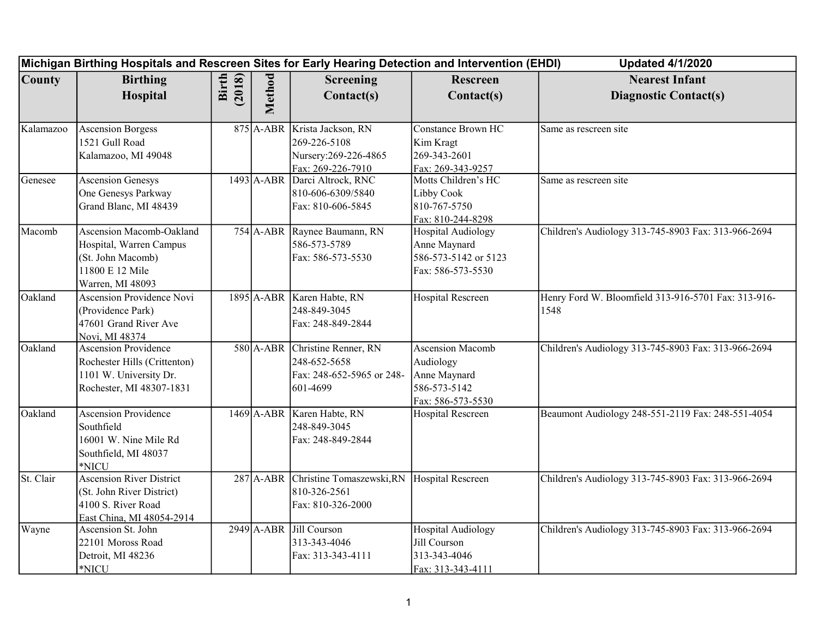|               | Michigan Birthing Hospitals and Rescreen Sites for Early Hearing Detection and Intervention (EHDI)                |                 |        |                                                                                            |                                                                                           | <b>Updated 4/1/2020</b>                                     |
|---------------|-------------------------------------------------------------------------------------------------------------------|-----------------|--------|--------------------------------------------------------------------------------------------|-------------------------------------------------------------------------------------------|-------------------------------------------------------------|
| <b>County</b> | <b>Birthing</b><br>Hospital                                                                                       | Birth<br>(2018) | Method | Screening<br>Contact(s)                                                                    | Rescreen<br>Contact(s)                                                                    | <b>Nearest Infant</b><br><b>Diagnostic Contact(s)</b>       |
| Kalamazoo     | <b>Ascension Borgess</b><br>1521 Gull Road<br>Kalamazoo, MI 49048                                                 |                 |        | 875 A-ABR Krista Jackson, RN<br>269-226-5108<br>Nursery: 269-226-4865<br>Fax: 269-226-7910 | <b>Constance Brown HC</b><br>Kim Kragt<br>269-343-2601<br>Fax: 269-343-9257               | Same as rescreen site                                       |
| Genesee       | <b>Ascension Genesys</b><br>One Genesys Parkway<br>Grand Blanc, MI 48439                                          |                 |        | 1493 A-ABR Darci Altrock, RNC<br>810-606-6309/5840<br>Fax: 810-606-5845                    | Motts Children's HC<br>Libby Cook<br>810-767-5750<br>Fax: 810-244-8298                    | Same as rescreen site                                       |
| Macomb        | Ascension Macomb-Oakland<br>Hospital, Warren Campus<br>(St. John Macomb)<br>11800 E 12 Mile<br>Warren, MI 48093   |                 |        | 754 A-ABR Raynee Baumann, RN<br>586-573-5789<br>Fax: 586-573-5530                          | <b>Hospital Audiology</b><br>Anne Maynard<br>586-573-5142 or 5123<br>Fax: 586-573-5530    | Children's Audiology 313-745-8903 Fax: 313-966-2694         |
| Oakland       | <b>Ascension Providence Novi</b><br>(Providence Park)<br>47601 Grand River Ave<br>Novi, MI 48374                  |                 |        | 1895 A-ABR Karen Habte, RN<br>248-849-3045<br>Fax: 248-849-2844                            | <b>Hospital Rescreen</b>                                                                  | Henry Ford W. Bloomfield 313-916-5701 Fax: 313-916-<br>1548 |
| Oakland       | <b>Ascension Providence</b><br>Rochester Hills (Crittenton)<br>1101 W. University Dr.<br>Rochester, MI 48307-1831 |                 |        | 580 A-ABR Christine Renner, RN<br>248-652-5658<br>Fax: 248-652-5965 or 248-<br>601-4699    | <b>Ascension Macomb</b><br>Audiology<br>Anne Maynard<br>586-573-5142<br>Fax: 586-573-5530 | Children's Audiology 313-745-8903 Fax: 313-966-2694         |
| Oakland       | <b>Ascension Providence</b><br>Southfield<br>16001 W. Nine Mile Rd<br>Southfield, MI 48037<br>*NICU               |                 |        | 1469 A-ABR Karen Habte, RN<br>248-849-3045<br>Fax: 248-849-2844                            | <b>Hospital Rescreen</b>                                                                  | Beaumont Audiology 248-551-2119 Fax: 248-551-4054           |
| St. Clair     | <b>Ascension River District</b><br>(St. John River District)<br>4100 S. River Road<br>East China, MI 48054-2914   |                 |        | 287 A-ABR Christine Tomaszewski, RN<br>810-326-2561<br>Fax: 810-326-2000                   | Hospital Rescreen                                                                         | Children's Audiology 313-745-8903 Fax: 313-966-2694         |
| Wayne         | Ascension St. John<br>22101 Moross Road<br>Detroit, MI 48236<br>*NICU                                             |                 |        | 2949 A-ABR Jill Courson<br>313-343-4046<br>Fax: 313-343-4111                               | <b>Hospital Audiology</b><br>Jill Courson<br>313-343-4046<br>Fax: 313-343-4111            | Children's Audiology 313-745-8903 Fax: 313-966-2694         |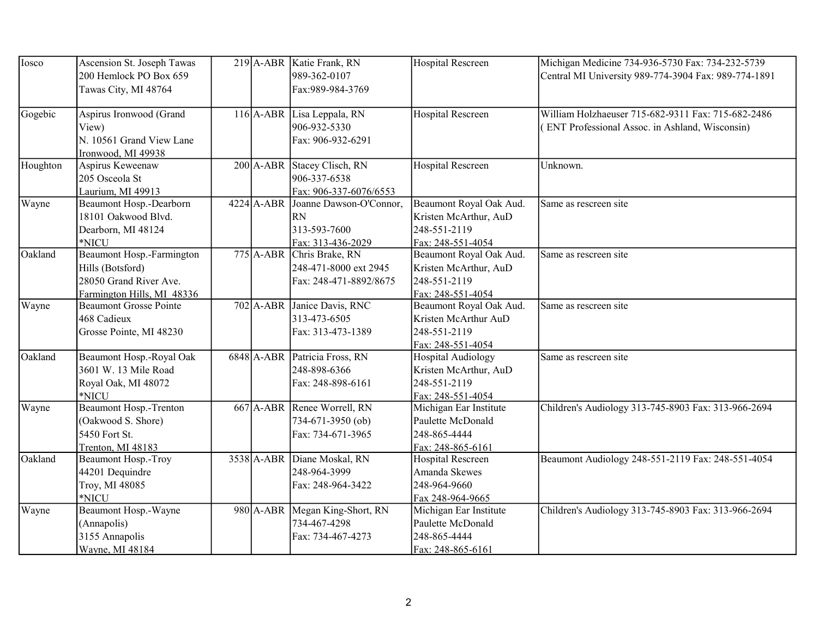| Iosco    | Ascension St. Joseph Tawas<br>200 Hemlock PO Box 659<br>Tawas City, MI 48764                          |              | 219 A-ABR Katie Frank, RN<br>989-362-0107<br>Fax: 989-984-3769               | <b>Hospital Rescreen</b>                                                                | Michigan Medicine 734-936-5730 Fax: 734-232-5739<br>Central MI University 989-774-3904 Fax: 989-774-1891 |
|----------|-------------------------------------------------------------------------------------------------------|--------------|------------------------------------------------------------------------------|-----------------------------------------------------------------------------------------|----------------------------------------------------------------------------------------------------------|
| Gogebic  | Aspirus Ironwood (Grand<br>View)<br>N. 10561 Grand View Lane<br>Ironwood, MI 49938                    |              | 116 A-ABR Lisa Leppala, RN<br>906-932-5330<br>Fax: 906-932-6291              | <b>Hospital Rescreen</b>                                                                | William Holzhaeuser 715-682-9311 Fax: 715-682-2486<br>(ENT Professional Assoc. in Ashland, Wisconsin)    |
| Houghton | Aspirus Keweenaw<br>205 Osceola St<br>Laurium, MI 49913                                               |              | 200 A-ABR Stacey Clisch, RN<br>906-337-6538<br>Fax: 906-337-6076/6553        | <b>Hospital Rescreen</b>                                                                | Unknown.                                                                                                 |
| Wayne    | Beaumont Hosp.-Dearborn<br>18101 Oakwood Blvd.<br>Dearborn, MI 48124<br>*NICU                         | $4224$ A-ABR | Joanne Dawson-O'Connor,<br><b>RN</b><br>313-593-7600<br>Fax: 313-436-2029    | Beaumont Royal Oak Aud.<br>Kristen McArthur, AuD<br>248-551-2119<br>Fax: 248-551-4054   | Same as rescreen site                                                                                    |
| Oakland  | Beaumont Hosp.-Farmington<br>Hills (Botsford)<br>28050 Grand River Ave.<br>Farmington Hills, MI 48336 |              | 775 A-ABR Chris Brake, RN<br>248-471-8000 ext 2945<br>Fax: 248-471-8892/8675 | Beaumont Royal Oak Aud.<br>Kristen McArthur, AuD<br>248-551-2119<br>Fax: 248-551-4054   | Same as rescreen site                                                                                    |
| Wayne    | <b>Beaumont Grosse Pointe</b><br>468 Cadieux<br>Grosse Pointe, MI 48230                               |              | 702 A-ABR Janice Davis, RNC<br>313-473-6505<br>Fax: 313-473-1389             | Beaumont Royal Oak Aud.<br>Kristen McArthur AuD<br>248-551-2119<br>Fax: 248-551-4054    | Same as rescreen site                                                                                    |
| Oakland  | Beaumont Hosp.-Royal Oak<br>3601 W. 13 Mile Road<br>Royal Oak, MI 48072<br>*NICU                      |              | 6848 A-ABR Patricia Fross, RN<br>248-898-6366<br>Fax: 248-898-6161           | <b>Hospital Audiology</b><br>Kristen McArthur, AuD<br>248-551-2119<br>Fax: 248-551-4054 | Same as rescreen site                                                                                    |
| Wayne    | <b>Beaumont Hosp.-Trenton</b><br>(Oakwood S. Shore)<br>5450 Fort St.<br>Trenton, MI 48183             |              | 667 A-ABR Renee Worrell, RN<br>734-671-3950 (ob)<br>Fax: 734-671-3965        | Michigan Ear Institute<br>Paulette McDonald<br>248-865-4444<br>Fax: 248-865-6161        | Children's Audiology 313-745-8903 Fax: 313-966-2694                                                      |
| Oakland  | Beaumont Hosp.-Troy<br>44201 Dequindre<br>Troy, MI 48085<br>*NICU                                     | 3538 A-ABR   | Diane Moskal, RN<br>248-964-3999<br>Fax: 248-964-3422                        | Hospital Rescreen<br>Amanda Skewes<br>248-964-9660<br>Fax 248-964-9665                  | Beaumont Audiology 248-551-2119 Fax: 248-551-4054                                                        |
| Wayne    | Beaumont Hosp.-Wayne<br>(Annapolis)<br>3155 Annapolis<br>Wayne, MI 48184                              |              | 980 A-ABR Megan King-Short, RN<br>734-467-4298<br>Fax: 734-467-4273          | Michigan Ear Institute<br>Paulette McDonald<br>248-865-4444<br>Fax: 248-865-6161        | Children's Audiology 313-745-8903 Fax: 313-966-2694                                                      |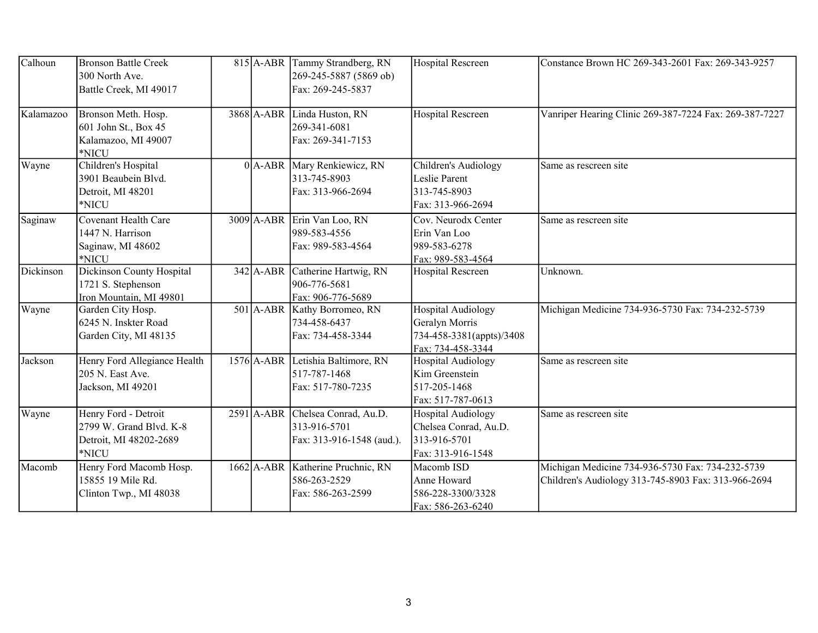| Calhoun   | <b>Bronson Battle Creek</b><br>300 North Ave.<br>Battle Creek, MI 49017            |  | 815 A-ABR Tammy Strandberg, RN<br>$269 - 245 - 5887$ (5869 ob)<br>Fax: 269-245-5837 | <b>Hospital Rescreen</b>                                                                     | Constance Brown HC 269-343-2601 Fax: 269-343-9257                                                       |
|-----------|------------------------------------------------------------------------------------|--|-------------------------------------------------------------------------------------|----------------------------------------------------------------------------------------------|---------------------------------------------------------------------------------------------------------|
| Kalamazoo | Bronson Meth. Hosp.<br>601 John St., Box 45<br>Kalamazoo, MI 49007<br>*NICU        |  | 3868 A-ABR Linda Huston, RN<br>269-341-6081<br>Fax: 269-341-7153                    | <b>Hospital Rescreen</b>                                                                     | Vanriper Hearing Clinic 269-387-7224 Fax: 269-387-7227                                                  |
| Wayne     | Children's Hospital<br>3901 Beaubein Blvd.<br>Detroit, MI 48201<br>*NICU           |  | 0 A-ABR Mary Renkiewicz, RN<br>313-745-8903<br>Fax: 313-966-2694                    | Children's Audiology<br>Leslie Parent<br>313-745-8903<br>Fax: 313-966-2694                   | Same as rescreen site                                                                                   |
| Saginaw   | <b>Covenant Health Care</b><br>1447 N. Harrison<br>Saginaw, MI 48602<br>*NICU      |  | 3009 A-ABR Erin Van Loo, RN<br>989-583-4556<br>Fax: 989-583-4564                    | Cov. Neurodx Center<br>Erin Van Loo<br>989-583-6278<br>Fax: 989-583-4564                     | Same as rescreen site                                                                                   |
| Dickinson | Dickinson County Hospital<br>1721 S. Stephenson<br>Iron Mountain, MI 49801         |  | 342 A-ABR Catherine Hartwig, RN<br>906-776-5681<br>Fax: 906-776-5689                | <b>Hospital Rescreen</b>                                                                     | Unknown.                                                                                                |
| Wayne     | Garden City Hosp.<br>6245 N. Inskter Road<br>Garden City, MI 48135                 |  | 501 A-ABR Kathy Borromeo, RN<br>734-458-6437<br>Fax: 734-458-3344                   | <b>Hospital Audiology</b><br>Geralyn Morris<br>734-458-3381(appts)/3408<br>Fax: 734-458-3344 | Michigan Medicine 734-936-5730 Fax: 734-232-5739                                                        |
| Jackson   | Henry Ford Allegiance Health<br>205 N. East Ave.<br>Jackson, MI 49201              |  | 1576 A-ABR Letishia Baltimore, RN<br>517-787-1468<br>Fax: 517-780-7235              | <b>Hospital Audiology</b><br>Kim Greenstein<br>517-205-1468<br>Fax: 517-787-0613             | Same as rescreen site                                                                                   |
| Wayne     | Henry Ford - Detroit<br>2799 W. Grand Blvd. K-8<br>Detroit, MI 48202-2689<br>*NICU |  | 2591 A-ABR Chelsea Conrad, Au.D.<br>313-916-5701<br>Fax: 313-916-1548 (aud.).       | <b>Hospital Audiology</b><br>Chelsea Conrad, Au.D.<br>313-916-5701<br>Fax: 313-916-1548      | Same as rescreen site                                                                                   |
| Macomb    | Henry Ford Macomb Hosp.<br>15855 19 Mile Rd.<br>Clinton Twp., MI 48038             |  | 1662 A-ABR Katherine Pruchnic, RN<br>586-263-2529<br>Fax: 586-263-2599              | Macomb ISD<br>Anne Howard<br>586-228-3300/3328<br>Fax: 586-263-6240                          | Michigan Medicine 734-936-5730 Fax: 734-232-5739<br>Children's Audiology 313-745-8903 Fax: 313-966-2694 |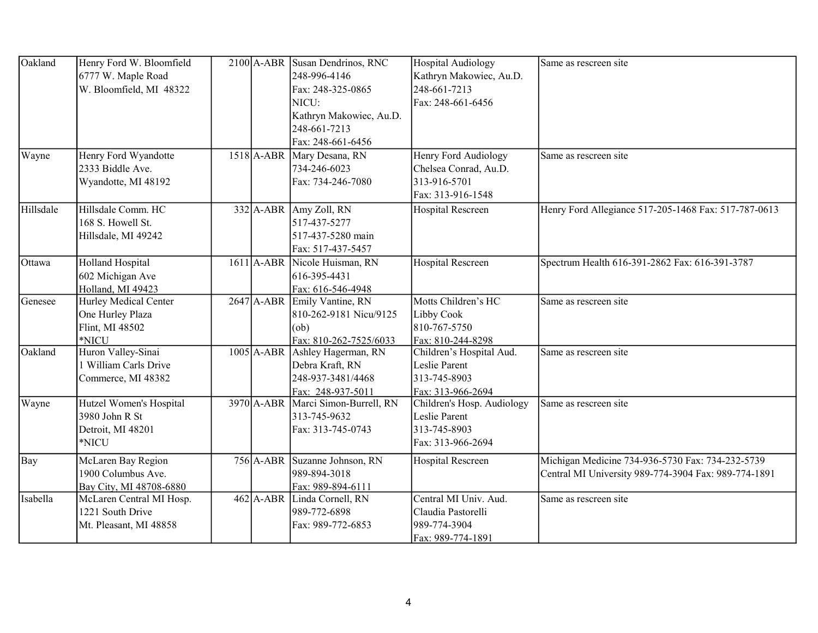| Oakland   | Henry Ford W. Bloomfield<br>6777 W. Maple Road<br>W. Bloomfield, MI 48322 |  | 2100 A-ABR Susan Dendrinos, RNC<br>248-996-4146<br>Fax: 248-325-0865<br>NICU:<br>Kathryn Makowiec, Au.D.<br>248-661-7213<br>Fax: 248-661-6456 | <b>Hospital Audiology</b><br>Kathryn Makowiec, Au.D.<br>248-661-7213<br>Fax: 248-661-6456 | Same as rescreen site                                                                                    |
|-----------|---------------------------------------------------------------------------|--|-----------------------------------------------------------------------------------------------------------------------------------------------|-------------------------------------------------------------------------------------------|----------------------------------------------------------------------------------------------------------|
| Wayne     | Henry Ford Wyandotte<br>2333 Biddle Ave.<br>Wyandotte, MI 48192           |  | 1518 A-ABR Mary Desana, RN<br>734-246-6023<br>Fax: 734-246-7080                                                                               | Henry Ford Audiology<br>Chelsea Conrad, Au.D.<br>313-916-5701<br>Fax: 313-916-1548        | Same as rescreen site                                                                                    |
| Hillsdale | Hillsdale Comm. HC<br>168 S. Howell St.<br>Hillsdale, MI 49242            |  | 332 A-ABR Amy Zoll, RN<br>517-437-5277<br>517-437-5280 main<br>Fax: 517-437-5457                                                              | Hospital Rescreen                                                                         | Henry Ford Allegiance 517-205-1468 Fax: 517-787-0613                                                     |
| Ottawa    | <b>Holland Hospital</b><br>602 Michigan Ave<br>Holland, MI 49423          |  | 1611 A-ABR Nicole Huisman, RN<br>616-395-4431<br>Fax: 616-546-4948                                                                            | <b>Hospital Rescreen</b>                                                                  | Spectrum Health 616-391-2862 Fax: 616-391-3787                                                           |
| Genesee   | Hurley Medical Center<br>One Hurley Plaza<br>Flint, MI 48502<br>*NICU     |  | 2647 A-ABR Emily Vantine, RN<br>810-262-9181 Nicu/9125<br>(ob)<br>Fax: 810-262-7525/6033                                                      | Motts Children's HC<br>Libby Cook<br>810-767-5750<br>Fax: 810-244-8298                    | Same as rescreen site                                                                                    |
| Oakland   | Huron Valley-Sinai<br>1 William Carls Drive<br>Commerce, MI 48382         |  | 1005 A-ABR Ashley Hagerman, RN<br>Debra Kraft, RN<br>248-937-3481/4468<br>Fax: 248-937-5011                                                   | Children's Hospital Aud.<br>Leslie Parent<br>313-745-8903<br>Fax: 313-966-2694            | Same as rescreen site                                                                                    |
| Wayne     | Hutzel Women's Hospital<br>3980 John R St<br>Detroit, MI 48201<br>*NICU   |  | 3970 A-ABR Marci Simon-Burrell, RN<br>313-745-9632<br>Fax: 313-745-0743                                                                       | Children's Hosp. Audiology<br>Leslie Parent<br>313-745-8903<br>Fax: 313-966-2694          | Same as rescreen site                                                                                    |
| Bay       | McLaren Bay Region<br>1900 Columbus Ave.<br>Bay City, MI 48708-6880       |  | 756 A-ABR Suzanne Johnson, RN<br>989-894-3018<br>Fax: 989-894-6111                                                                            | <b>Hospital Rescreen</b>                                                                  | Michigan Medicine 734-936-5730 Fax: 734-232-5739<br>Central MI University 989-774-3904 Fax: 989-774-1891 |
| Isabella  | McLaren Central MI Hosp.<br>1221 South Drive<br>Mt. Pleasant, MI 48858    |  | 462 A-ABR Linda Cornell, RN<br>989-772-6898<br>Fax: 989-772-6853                                                                              | Central MI Univ. Aud.<br>Claudia Pastorelli<br>989-774-3904<br>Fax: 989-774-1891          | Same as rescreen site                                                                                    |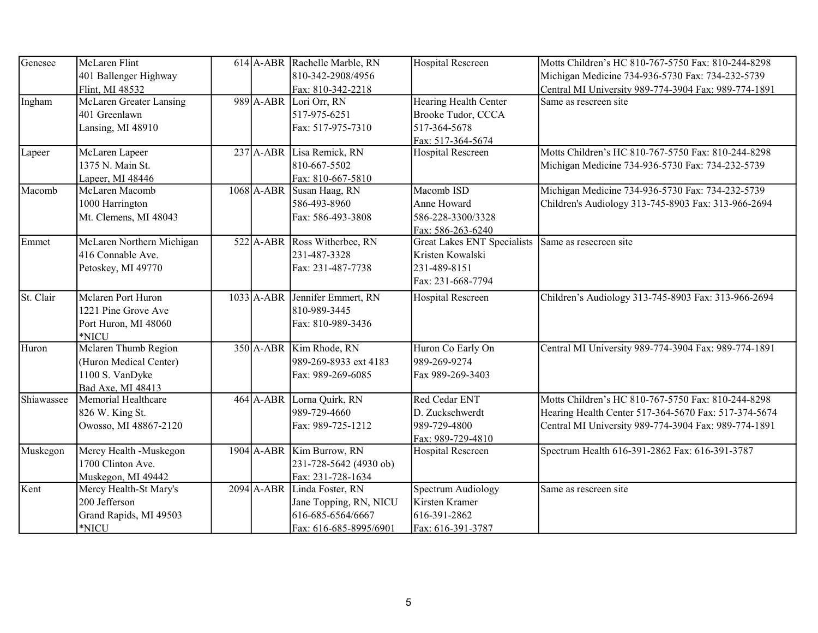| Genesee    | McLaren Flint<br>401 Ballenger Highway                                                 |              | 614 A-ABR Rachelle Marble, RN<br>810-342-2908/4956                                                   | Hospital Rescreen                                                                           | Motts Children's HC 810-767-5750 Fax: 810-244-8298<br>Michigan Medicine 734-936-5730 Fax: 734-232-5739                                                             |
|------------|----------------------------------------------------------------------------------------|--------------|------------------------------------------------------------------------------------------------------|---------------------------------------------------------------------------------------------|--------------------------------------------------------------------------------------------------------------------------------------------------------------------|
| Ingham     | Flint, MI 48532<br>McLaren Greater Lansing<br>401 Greenlawn<br>Lansing, MI 48910       |              | Fax: 810-342-2218<br>989 A-ABR Lori Orr, RN<br>517-975-6251<br>Fax: 517-975-7310                     | Hearing Health Center<br>Brooke Tudor, CCCA<br>517-364-5678                                 | Central MI University 989-774-3904 Fax: 989-774-1891<br>Same as rescreen site                                                                                      |
| Lapeer     | McLaren Lapeer<br>1375 N. Main St.                                                     |              | 237 A-ABR Lisa Remick, RN<br>810-667-5502                                                            | Fax: 517-364-5674<br>Hospital Rescreen                                                      | Motts Children's HC 810-767-5750 Fax: 810-244-8298<br>Michigan Medicine 734-936-5730 Fax: 734-232-5739                                                             |
| Macomb     | Lapeer, MI 48446<br>McLaren Macomb<br>1000 Harrington<br>Mt. Clemens, MI 48043         | $1068$ A-ABR | Fax: 810-667-5810<br>Susan Haag, RN<br>586-493-8960<br>Fax: 586-493-3808                             | Macomb ISD<br>Anne Howard<br>586-228-3300/3328<br>Fax: 586-263-6240                         | Michigan Medicine 734-936-5730 Fax: 734-232-5739<br>Children's Audiology 313-745-8903 Fax: 313-966-2694                                                            |
| Emmet      | McLaren Northern Michigan<br>416 Connable Ave.<br>Petoskey, MI 49770                   |              | 522 A-ABR Ross Witherbee, RN<br>231-487-3328<br>Fax: 231-487-7738                                    | <b>Great Lakes ENT Specialists</b><br>Kristen Kowalski<br>231-489-8151<br>Fax: 231-668-7794 | Same as resecreen site                                                                                                                                             |
| St. Clair  | Mclaren Port Huron<br>1221 Pine Grove Ave<br>Port Huron, MI 48060<br>*NICU             |              | 1033 A-ABR Jennifer Emmert, RN<br>810-989-3445<br>Fax: 810-989-3436                                  | <b>Hospital Rescreen</b>                                                                    | Children's Audiology 313-745-8903 Fax: 313-966-2694                                                                                                                |
| Huron      | Mclaren Thumb Region<br>(Huron Medical Center)<br>1100 S. VanDyke<br>Bad Axe, MI 48413 |              | 350 A-ABR Kim Rhode, RN<br>989-269-8933 ext 4183<br>Fax: 989-269-6085                                | Huron Co Early On<br>989-269-9274<br>Fax 989-269-3403                                       | Central MI University 989-774-3904 Fax: 989-774-1891                                                                                                               |
| Shiawassee | Memorial Healthcare<br>826 W. King St.<br>Owosso, MI 48867-2120                        |              | 464 A-ABR Lorna Quirk, RN<br>989-729-4660<br>Fax: 989-725-1212                                       | Red Cedar ENT<br>D. Zuckschwerdt<br>989-729-4800<br>Fax: 989-729-4810                       | Motts Children's HC 810-767-5750 Fax: 810-244-8298<br>Hearing Health Center 517-364-5670 Fax: 517-374-5674<br>Central MI University 989-774-3904 Fax: 989-774-1891 |
| Muskegon   | Mercy Health -Muskegon<br>1700 Clinton Ave.<br>Muskegon, MI 49442                      |              | 1904 A-ABR Kim Burrow, RN<br>231-728-5642 (4930 ob)<br>Fax: 231-728-1634                             | Hospital Rescreen                                                                           | Spectrum Health 616-391-2862 Fax: 616-391-3787                                                                                                                     |
| Kent       | Mercy Health-St Mary's<br>200 Jefferson<br>Grand Rapids, MI 49503<br>*NICU             |              | 2094 A-ABR Linda Foster, RN<br>Jane Topping, RN, NICU<br>616-685-6564/6667<br>Fax: 616-685-8995/6901 | Spectrum Audiology<br>Kirsten Kramer<br>616-391-2862<br>Fax: 616-391-3787                   | Same as rescreen site                                                                                                                                              |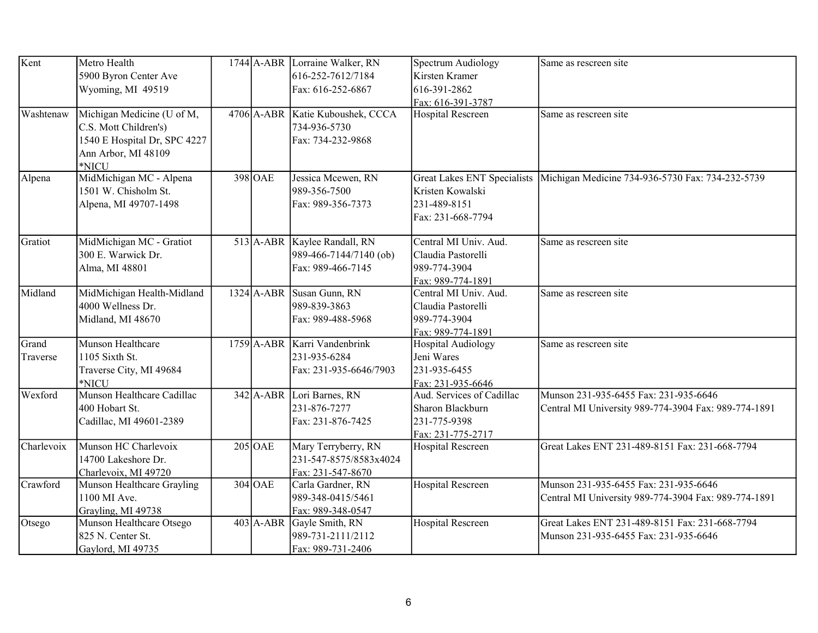| Kent              | Metro Health<br>5900 Byron Center Ave                                                                               |             | 1744 A-ABR Lorraine Walker, RN<br>616-252-7612/7184                         | Spectrum Audiology<br>Kirsten Kramer                                               | Same as rescreen site                                                                         |
|-------------------|---------------------------------------------------------------------------------------------------------------------|-------------|-----------------------------------------------------------------------------|------------------------------------------------------------------------------------|-----------------------------------------------------------------------------------------------|
|                   | Wyoming, MI 49519                                                                                                   |             | Fax: 616-252-6867                                                           | 616-391-2862<br>Fax: 616-391-3787                                                  |                                                                                               |
| Washtenaw         | Michigan Medicine (U of M,<br>C.S. Mott Children's)<br>1540 E Hospital Dr, SPC 4227<br>Ann Arbor, MI 48109<br>*NICU |             | 4706 A-ABR Katie Kuboushek, CCCA<br>734-936-5730<br>Fax: 734-232-9868       | <b>Hospital Rescreen</b>                                                           | Same as rescreen site                                                                         |
| Alpena            | MidMichigan MC - Alpena<br>1501 W. Chisholm St.<br>Alpena, MI 49707-1498                                            | 398 OAE     | Jessica Mcewen, RN<br>989-356-7500<br>Fax: 989-356-7373                     | Kristen Kowalski<br>231-489-8151<br>Fax: 231-668-7794                              | Great Lakes ENT Specialists Michigan Medicine 734-936-5730 Fax: 734-232-5739                  |
| Gratiot           | MidMichigan MC - Gratiot<br>300 E. Warwick Dr.<br>Alma, MI 48801                                                    |             | 513 A-ABR Kaylee Randall, RN<br>989-466-7144/7140 (ob)<br>Fax: 989-466-7145 | Central MI Univ. Aud.<br>Claudia Pastorelli<br>989-774-3904<br>Fax: 989-774-1891   | Same as rescreen site                                                                         |
| Midland           | MidMichigan Health-Midland<br>4000 Wellness Dr.<br>Midland, MI 48670                                                |             | 1324 A-ABR Susan Gunn, RN<br>989-839-3863<br>Fax: 989-488-5968              | Central MI Univ. Aud.<br>Claudia Pastorelli<br>989-774-3904<br>Fax: 989-774-1891   | Same as rescreen site                                                                         |
| Grand<br>Traverse | Munson Healthcare<br>1105 Sixth St.<br>Traverse City, MI 49684<br>*NICU                                             |             | 1759 A-ABR Karri Vandenbrink<br>231-935-6284<br>Fax: 231-935-6646/7903      | <b>Hospital Audiology</b><br>Jeni Wares<br>231-935-6455<br>Fax: 231-935-6646       | Same as rescreen site                                                                         |
| Wexford           | Munson Healthcare Cadillac<br>400 Hobart St.<br>Cadillac, MI 49601-2389                                             |             | 342 A-ABR Lori Barnes, RN<br>231-876-7277<br>Fax: 231-876-7425              | Aud. Services of Cadillac<br>Sharon Blackburn<br>231-775-9398<br>Fax: 231-775-2717 | Munson 231-935-6455 Fax: 231-935-6646<br>Central MI University 989-774-3904 Fax: 989-774-1891 |
| Charlevoix        | Munson HC Charlevoix<br>14700 Lakeshore Dr.<br>Charlevoix, MI 49720                                                 | $205$ OAE   | Mary Terryberry, RN<br>231-547-8575/8583x4024<br>Fax: 231-547-8670          | Hospital Rescreen                                                                  | Great Lakes ENT 231-489-8151 Fax: 231-668-7794                                                |
| Crawford          | Munson Healthcare Grayling<br>1100 MI Ave.<br>Grayling, MI 49738                                                    | $304$ OAE   | Carla Gardner, RN<br>989-348-0415/5461<br>Fax: 989-348-0547                 | <b>Hospital Rescreen</b>                                                           | Munson 231-935-6455 Fax: 231-935-6646<br>Central MI University 989-774-3904 Fax: 989-774-1891 |
| Otsego            | Munson Healthcare Otsego<br>825 N. Center St.<br>Gaylord, MI 49735                                                  | $403$ A-ABR | Gayle Smith, RN<br>989-731-2111/2112<br>Fax: 989-731-2406                   | <b>Hospital Rescreen</b>                                                           | Great Lakes ENT 231-489-8151 Fax: 231-668-7794<br>Munson 231-935-6455 Fax: 231-935-6646       |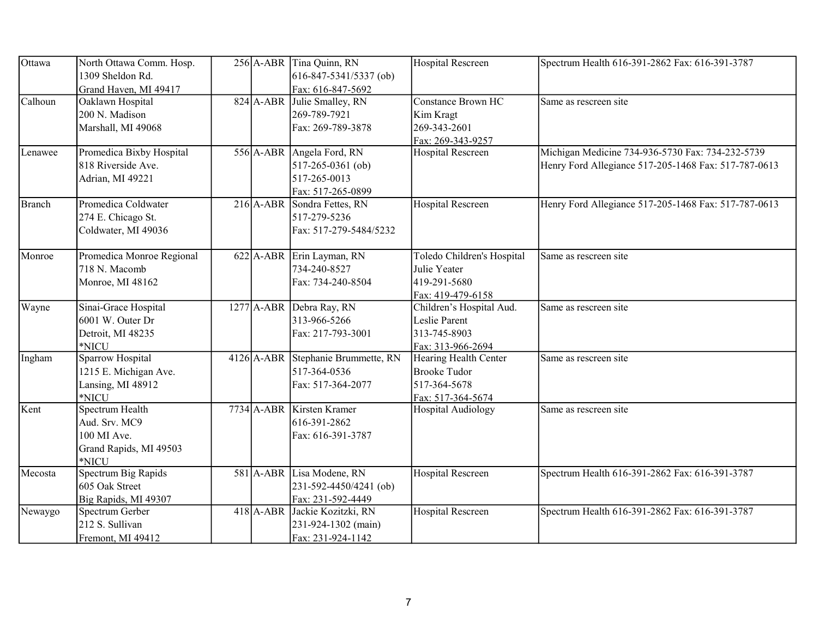| Ottawa  | North Ottawa Comm. Hosp.                  |  | $256$ A-ABR Tina Quinn, RN                        | <b>Hospital Rescreen</b>   | Spectrum Health 616-391-2862 Fax: 616-391-3787       |
|---------|-------------------------------------------|--|---------------------------------------------------|----------------------------|------------------------------------------------------|
|         | 1309 Sheldon Rd.<br>Grand Haven, MI 49417 |  | $616 - 847 - 5341/5337$ (ob)<br>Fax: 616-847-5692 |                            |                                                      |
| Calhoun | Oaklawn Hospital                          |  | 824 A-ABR Julie Smalley, RN                       | <b>Constance Brown HC</b>  | Same as rescreen site                                |
|         | 200 N. Madison                            |  | 269-789-7921                                      | Kim Kragt                  |                                                      |
|         | Marshall, MI 49068                        |  | Fax: 269-789-3878                                 | 269-343-2601               |                                                      |
|         |                                           |  |                                                   | Fax: 269-343-9257          |                                                      |
| Lenawee | Promedica Bixby Hospital                  |  | 556 A-ABR Angela Ford, RN                         | Hospital Rescreen          | Michigan Medicine 734-936-5730 Fax: 734-232-5739     |
|         | 818 Riverside Ave.                        |  | $517 - 265 - 0361$ (ob)                           |                            | Henry Ford Allegiance 517-205-1468 Fax: 517-787-0613 |
|         | Adrian, MI 49221                          |  | 517-265-0013                                      |                            |                                                      |
|         |                                           |  | Fax: 517-265-0899                                 |                            |                                                      |
| Branch  | Promedica Coldwater                       |  | 216 A-ABR Sondra Fettes, RN                       | Hospital Rescreen          | Henry Ford Allegiance 517-205-1468 Fax: 517-787-0613 |
|         | 274 E. Chicago St.                        |  | 517-279-5236                                      |                            |                                                      |
|         | Coldwater, MI 49036                       |  | Fax: 517-279-5484/5232                            |                            |                                                      |
|         |                                           |  |                                                   |                            |                                                      |
| Monroe  | Promedica Monroe Regional                 |  | 622 A-ABR Erin Layman, RN                         | Toledo Children's Hospital | Same as rescreen site                                |
|         | 718 N. Macomb                             |  | 734-240-8527                                      | Julie Yeater               |                                                      |
|         | Monroe, MI 48162                          |  | Fax: 734-240-8504                                 | 419-291-5680               |                                                      |
|         |                                           |  |                                                   | Fax: 419-479-6158          |                                                      |
| Wayne   | Sinai-Grace Hospital                      |  | 1277 A-ABR Debra Ray, RN                          | Children's Hospital Aud.   | Same as rescreen site                                |
|         | 6001 W. Outer Dr                          |  | 313-966-5266                                      | Leslie Parent              |                                                      |
|         | Detroit, MI 48235                         |  | Fax: 217-793-3001                                 | 313-745-8903               |                                                      |
|         | *NICU                                     |  |                                                   | Fax: 313-966-2694          |                                                      |
| Ingham  | Sparrow Hospital                          |  | 4126 A-ABR Stephanie Brummette, RN                | Hearing Health Center      | Same as rescreen site                                |
|         | 1215 E. Michigan Ave.                     |  | 517-364-0536                                      | <b>Brooke Tudor</b>        |                                                      |
|         | Lansing, MI 48912                         |  | Fax: 517-364-2077                                 | 517-364-5678               |                                                      |
|         | *NICU                                     |  |                                                   | Fax: 517-364-5674          |                                                      |
| Kent    | Spectrum Health                           |  | 7734 A-ABR Kirsten Kramer                         | Hospital Audiology         | Same as rescreen site                                |
|         | Aud. Srv. MC9                             |  | 616-391-2862                                      |                            |                                                      |
|         | 100 MI Ave.                               |  | Fax: 616-391-3787                                 |                            |                                                      |
|         | Grand Rapids, MI 49503                    |  |                                                   |                            |                                                      |
|         | *NICU                                     |  |                                                   |                            |                                                      |
| Mecosta | Spectrum Big Rapids                       |  | 581 A-ABR Lisa Modene, RN                         | Hospital Rescreen          | Spectrum Health 616-391-2862 Fax: 616-391-3787       |
|         | 605 Oak Street                            |  | 231-592-4450/4241 (ob)                            |                            |                                                      |
|         | Big Rapids, MI 49307                      |  | Fax: 231-592-4449                                 |                            |                                                      |
| Newaygo | Spectrum Gerber                           |  | 418 A-ABR Jackie Kozitzki, RN                     | <b>Hospital Rescreen</b>   | Spectrum Health 616-391-2862 Fax: 616-391-3787       |
|         | 212 S. Sullivan                           |  | 231-924-1302 (main)                               |                            |                                                      |
|         | Fremont, MI 49412                         |  | Fax: 231-924-1142                                 |                            |                                                      |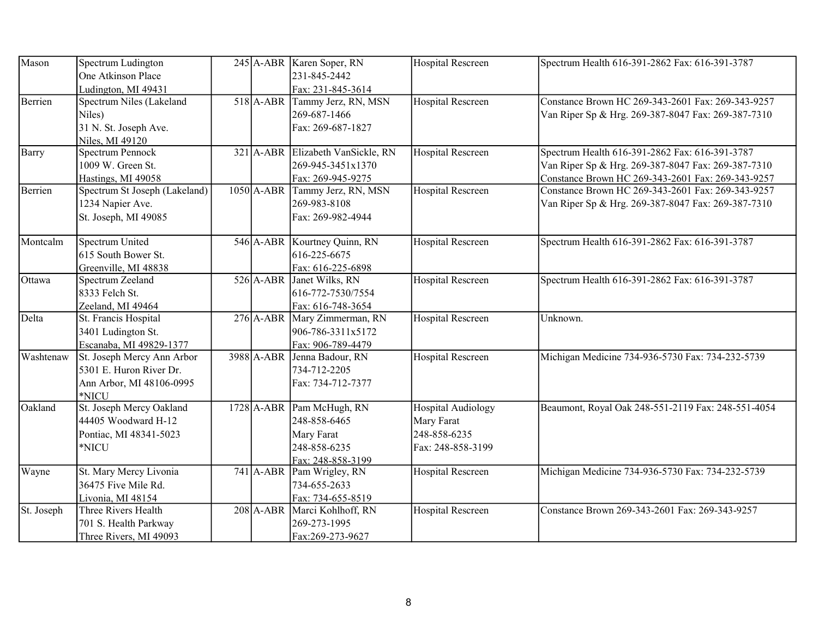| Mason      | Spectrum Ludington            |              | 245 A-ABR Karen Soper, RN         | <b>Hospital Rescreen</b> | Spectrum Health 616-391-2862 Fax: 616-391-3787     |
|------------|-------------------------------|--------------|-----------------------------------|--------------------------|----------------------------------------------------|
|            | One Atkinson Place            |              | 231-845-2442                      |                          |                                                    |
|            | Ludington, MI 49431           |              | Fax: 231-845-3614                 |                          |                                                    |
| Berrien    | Spectrum Niles (Lakeland      | $518$ $A-BR$ | Tammy Jerz, RN, MSN               | <b>Hospital Rescreen</b> | Constance Brown HC 269-343-2601 Fax: 269-343-9257  |
|            | Niles)                        |              | 269-687-1466                      |                          | Van Riper Sp & Hrg. 269-387-8047 Fax: 269-387-7310 |
|            | 31 N. St. Joseph Ave.         |              | Fax: 269-687-1827                 |                          |                                                    |
|            | Niles, MI 49120               |              |                                   |                          |                                                    |
| Barry      | <b>Spectrum Pennock</b>       |              | 321 A-ABR Elizabeth VanSickle, RN | Hospital Rescreen        | Spectrum Health 616-391-2862 Fax: 616-391-3787     |
|            | 1009 W. Green St.             |              | 269-945-3451x1370                 |                          | Van Riper Sp & Hrg. 269-387-8047 Fax: 269-387-7310 |
|            | Hastings, MI 49058            |              | Fax: 269-945-9275                 |                          | Constance Brown HC 269-343-2601 Fax: 269-343-9257  |
| Berrien    | Spectrum St Joseph (Lakeland) |              | 1050 A-ABR Tammy Jerz, RN, MSN    | <b>Hospital Rescreen</b> | Constance Brown HC 269-343-2601 Fax: 269-343-9257  |
|            | 1234 Napier Ave.              |              | 269-983-8108                      |                          | Van Riper Sp & Hrg. 269-387-8047 Fax: 269-387-7310 |
|            | St. Joseph, MI 49085          |              | Fax: 269-982-4944                 |                          |                                                    |
| Montcalm   | Spectrum United               |              | 546 A-ABR Kourtney Quinn, RN      | <b>Hospital Rescreen</b> | Spectrum Health 616-391-2862 Fax: 616-391-3787     |
|            | 615 South Bower St.           |              | 616-225-6675                      |                          |                                                    |
|            | Greenville, MI 48838          |              | Fax: 616-225-6898                 |                          |                                                    |
| Ottawa     | Spectrum Zeeland              |              | 526 A-ABR Janet Wilks, RN         | <b>Hospital Rescreen</b> | Spectrum Health 616-391-2862 Fax: 616-391-3787     |
|            | 8333 Felch St.                |              | 616-772-7530/7554                 |                          |                                                    |
|            | Zeeland, MI 49464             |              | Fax: 616-748-3654                 |                          |                                                    |
| Delta      | St. Francis Hospital          |              | 276 A-ABR Mary Zimmerman, RN      | Hospital Rescreen        | Unknown.                                           |
|            | 3401 Ludington St.            |              | 906-786-3311x5172                 |                          |                                                    |
|            | Escanaba, MI 49829-1377       |              | Fax: 906-789-4479                 |                          |                                                    |
| Washtenaw  | St. Joseph Mercy Ann Arbor    | 3988 A-ABR   | Jenna Badour, RN                  | <b>Hospital Rescreen</b> | Michigan Medicine 734-936-5730 Fax: 734-232-5739   |
|            | 5301 E. Huron River Dr.       |              | 734-712-2205                      |                          |                                                    |
|            | Ann Arbor, MI 48106-0995      |              | Fax: 734-712-7377                 |                          |                                                    |
|            | *NICU                         |              |                                   |                          |                                                    |
| Oakland    | St. Joseph Mercy Oakland      |              | 1728 A-ABR Pam McHugh, RN         | Hospital Audiology       | Beaumont, Royal Oak 248-551-2119 Fax: 248-551-4054 |
|            | 44405 Woodward H-12           |              | 248-858-6465                      | Mary Farat               |                                                    |
|            | Pontiac, MI 48341-5023        |              | Mary Farat                        | 248-858-6235             |                                                    |
|            | *NICU                         |              | 248-858-6235                      | Fax: 248-858-3199        |                                                    |
|            |                               |              | Fax: 248-858-3199                 |                          |                                                    |
| Wayne      | St. Mary Mercy Livonia        |              | 741 A-ABR Pam Wrigley, RN         | <b>Hospital Rescreen</b> | Michigan Medicine 734-936-5730 Fax: 734-232-5739   |
|            | 36475 Five Mile Rd.           |              | 734-655-2633                      |                          |                                                    |
|            | Livonia, MI 48154             |              | Fax: 734-655-8519                 |                          |                                                    |
| St. Joseph | Three Rivers Health           |              | 208 A-ABR Marci Kohlhoff, RN      | Hospital Rescreen        | Constance Brown 269-343-2601 Fax: 269-343-9257     |
|            | 701 S. Health Parkway         |              | 269-273-1995                      |                          |                                                    |
|            | Three Rivers, MI 49093        |              | Fax:269-273-9627                  |                          |                                                    |